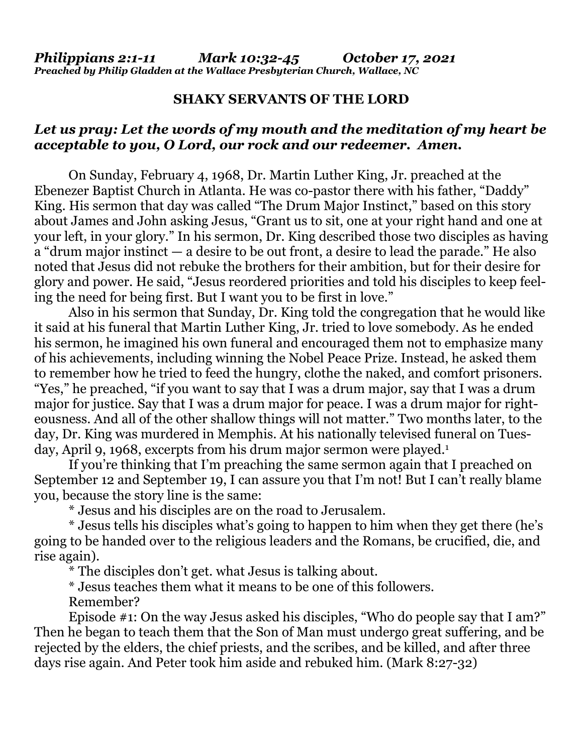## **SHAKY SERVANTS OF THE LORD**

## *Let us pray: Let the words of my mouth and the meditation of my heart be acceptable to you, O Lord, our rock and our redeemer. Amen.*

On Sunday, February 4, 1968, Dr. Martin Luther King, Jr. preached at the Ebenezer Baptist Church in Atlanta. He was co-pastor there with his father, "Daddy" King. His sermon that day was called "The Drum Major Instinct," based on this story about James and John asking Jesus, "Grant us to sit, one at your right hand and one at your left, in your glory." In his sermon, Dr. King described those two disciples as having a "drum major instinct — a desire to be out front, a desire to lead the parade." He also noted that Jesus did not rebuke the brothers for their ambition, but for their desire for glory and power. He said, "Jesus reordered priorities and told his disciples to keep feeling the need for being first. But I want you to be first in love."

 Also in his sermon that Sunday, Dr. King told the congregation that he would like it said at his funeral that Martin Luther King, Jr. tried to love somebody. As he ended his sermon, he imagined his own funeral and encouraged them not to emphasize many of his achievements, including winning the Nobel Peace Prize. Instead, he asked them to remember how he tried to feed the hungry, clothe the naked, and comfort prisoners. "Yes," he preached, "if you want to say that I was a drum major, say that I was a drum major for justice. Say that I was a drum major for peace. I was a drum major for righteousness. And all of the other shallow things will not matter." Two months later, to the day, Dr. King was murdered in Memphis. At his nationally televised funeral on Tuesday, April 9, 1968, excerpts from his drum major sermon were played.<sup>1</sup>

 If you're thinking that I'm preaching the same sermon again that I preached on September 12 and September 19, I can assure you that I'm not! But I can't really blame you, because the story line is the same:

\* Jesus and his disciples are on the road to Jerusalem.

 \* Jesus tells his disciples what's going to happen to him when they get there (he's going to be handed over to the religious leaders and the Romans, be crucified, die, and rise again).

\* The disciples don't get. what Jesus is talking about.

\* Jesus teaches them what it means to be one of this followers.

Remember?

 Episode #1: On the way Jesus asked his disciples, "Who do people say that I am?" Then he began to teach them that the Son of Man must undergo great suffering, and be rejected by the elders, the chief priests, and the scribes, and be killed, and after three days rise again. And Peter took him aside and rebuked him. (Mark 8:27-32)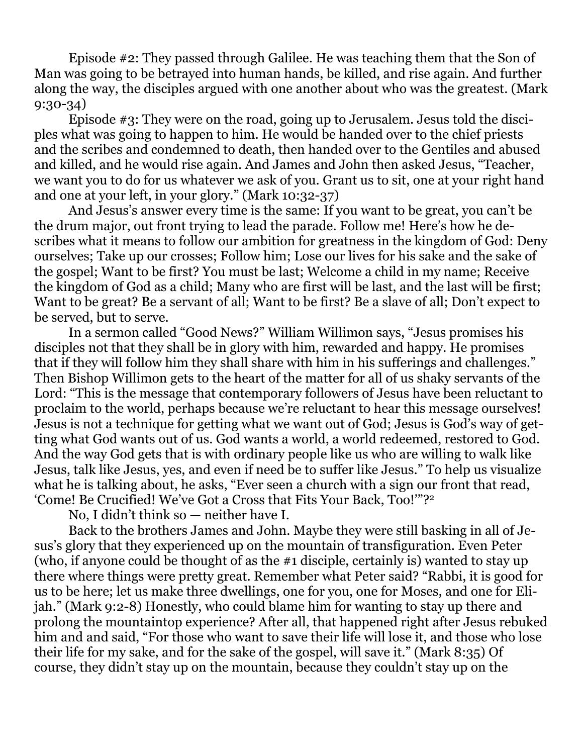Episode #2: They passed through Galilee. He was teaching them that the Son of Man was going to be betrayed into human hands, be killed, and rise again. And further along the way, the disciples argued with one another about who was the greatest. (Mark 9:30-34)

 Episode #3: They were on the road, going up to Jerusalem. Jesus told the disciples what was going to happen to him. He would be handed over to the chief priests and the scribes and condemned to death, then handed over to the Gentiles and abused and killed, and he would rise again. And James and John then asked Jesus, "Teacher, we want you to do for us whatever we ask of you. Grant us to sit, one at your right hand and one at your left, in your glory." (Mark 10:32-37)

 And Jesus's answer every time is the same: If you want to be great, you can't be the drum major, out front trying to lead the parade. Follow me! Here's how he describes what it means to follow our ambition for greatness in the kingdom of God: Deny ourselves; Take up our crosses; Follow him; Lose our lives for his sake and the sake of the gospel; Want to be first? You must be last; Welcome a child in my name; Receive the kingdom of God as a child; Many who are first will be last, and the last will be first; Want to be great? Be a servant of all; Want to be first? Be a slave of all; Don't expect to be served, but to serve.

 In a sermon called "Good News?" William Willimon says, "Jesus promises his disciples not that they shall be in glory with him, rewarded and happy. He promises that if they will follow him they shall share with him in his sufferings and challenges." Then Bishop Willimon gets to the heart of the matter for all of us shaky servants of the Lord: "This is the message that contemporary followers of Jesus have been reluctant to proclaim to the world, perhaps because we're reluctant to hear this message ourselves! Jesus is not a technique for getting what we want out of God; Jesus is God's way of getting what God wants out of us. God wants a world, a world redeemed, restored to God. And the way God gets that is with ordinary people like us who are willing to walk like Jesus, talk like Jesus, yes, and even if need be to suffer like Jesus." To help us visualize what he is talking about, he asks, "Ever seen a church with a sign our front that read, 'Come! Be Crucified! We've Got a Cross that Fits Your Back, Too!'"?2

No, I didn't think so — neither have I.

 Back to the brothers James and John. Maybe they were still basking in all of Jesus's glory that they experienced up on the mountain of transfiguration. Even Peter (who, if anyone could be thought of as the #1 disciple, certainly is) wanted to stay up there where things were pretty great. Remember what Peter said? "Rabbi, it is good for us to be here; let us make three dwellings, one for you, one for Moses, and one for Elijah." (Mark 9:2-8) Honestly, who could blame him for wanting to stay up there and prolong the mountaintop experience? After all, that happened right after Jesus rebuked him and and said, "For those who want to save their life will lose it, and those who lose their life for my sake, and for the sake of the gospel, will save it." (Mark 8:35) Of course, they didn't stay up on the mountain, because they couldn't stay up on the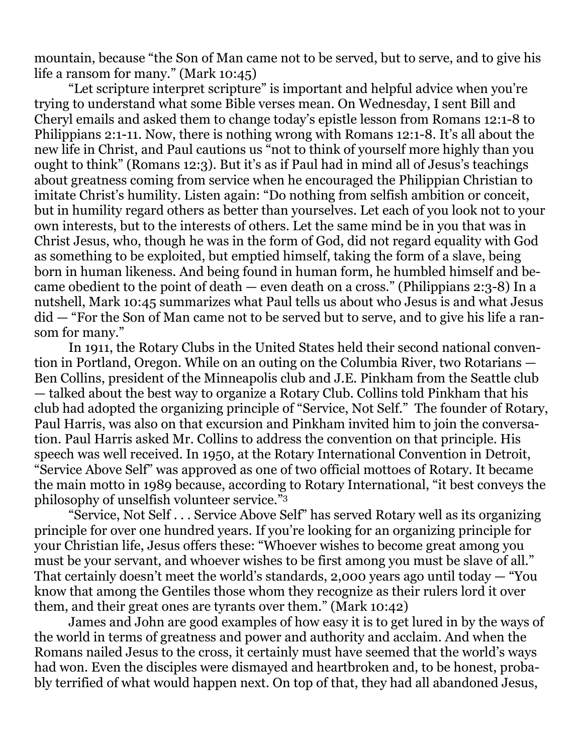mountain, because "the Son of Man came not to be served, but to serve, and to give his life a ransom for many." (Mark 10:45)

 "Let scripture interpret scripture" is important and helpful advice when you're trying to understand what some Bible verses mean. On Wednesday, I sent Bill and Cheryl emails and asked them to change today's epistle lesson from Romans 12:1-8 to Philippians 2:1-11. Now, there is nothing wrong with Romans 12:1-8. It's all about the new life in Christ, and Paul cautions us "not to think of yourself more highly than you ought to think" (Romans 12:3). But it's as if Paul had in mind all of Jesus's teachings about greatness coming from service when he encouraged the Philippian Christian to imitate Christ's humility. Listen again: "Do nothing from selfish ambition or conceit, but in humility regard others as better than yourselves. Let each of you look not to your own interests, but to the interests of others. Let the same mind be in you that was in Christ Jesus, who, though he was in the form of God, did not regard equality with God as something to be exploited, but emptied himself, taking the form of a slave, being born in human likeness. And being found in human form, he humbled himself and became obedient to the point of death — even death on a cross." (Philippians 2:3-8) In a nutshell, Mark 10:45 summarizes what Paul tells us about who Jesus is and what Jesus did — "For the Son of Man came not to be served but to serve, and to give his life a ransom for many."

 In 1911, the Rotary Clubs in the United States held their second national convention in Portland, Oregon. While on an outing on the Columbia River, two Rotarians — Ben Collins, president of the Minneapolis club and J.E. Pinkham from the Seattle club — talked about the best way to organize a Rotary Club. Collins told Pinkham that his club had adopted the organizing principle of "Service, Not Self." The founder of Rotary, Paul Harris, was also on that excursion and Pinkham invited him to join the conversation. Paul Harris asked Mr. Collins to address the convention on that principle. His speech was well received. In 1950, at the Rotary International Convention in Detroit, "Service Above Self" was approved as one of two official mottoes of Rotary. It became the main motto in 1989 because, according to Rotary International, "it best conveys the philosophy of unselfish volunteer service."3

 "Service, Not Self . . . Service Above Self" has served Rotary well as its organizing principle for over one hundred years. If you're looking for an organizing principle for your Christian life, Jesus offers these: "Whoever wishes to become great among you must be your servant, and whoever wishes to be first among you must be slave of all." That certainly doesn't meet the world's standards, 2,000 years ago until today — "You know that among the Gentiles those whom they recognize as their rulers lord it over them, and their great ones are tyrants over them." (Mark 10:42)

 James and John are good examples of how easy it is to get lured in by the ways of the world in terms of greatness and power and authority and acclaim. And when the Romans nailed Jesus to the cross, it certainly must have seemed that the world's ways had won. Even the disciples were dismayed and heartbroken and, to be honest, probably terrified of what would happen next. On top of that, they had all abandoned Jesus,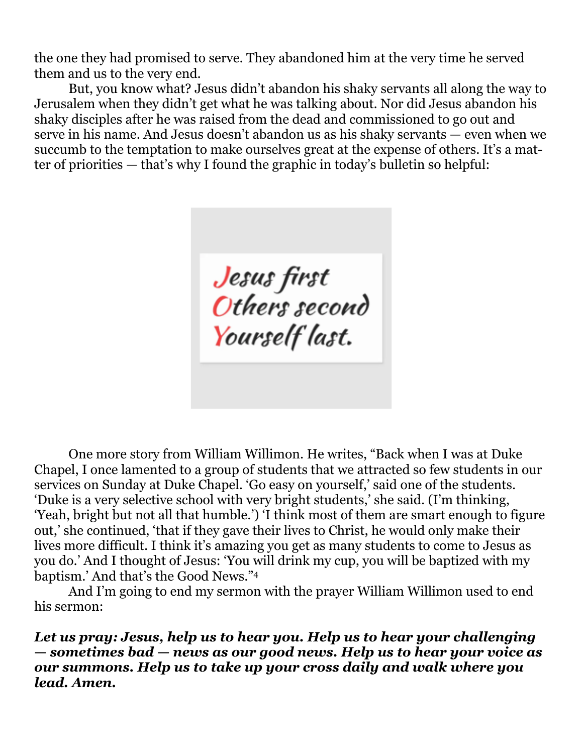the one they had promised to serve. They abandoned him at the very time he served them and us to the very end.

 But, you know what? Jesus didn't abandon his shaky servants all along the way to Jerusalem when they didn't get what he was talking about. Nor did Jesus abandon his shaky disciples after he was raised from the dead and commissioned to go out and serve in his name. And Jesus doesn't abandon us as his shaky servants — even when we succumb to the temptation to make ourselves great at the expense of others. It's a matter of priorities — that's why I found the graphic in today's bulletin so helpful:

Jesus first<br>Others second Yourself last.

 One more story from William Willimon. He writes, "Back when I was at Duke Chapel, I once lamented to a group of students that we attracted so few students in our services on Sunday at Duke Chapel. 'Go easy on yourself,' said one of the students. 'Duke is a very selective school with very bright students,' she said. (I'm thinking, 'Yeah, bright but not all that humble.') 'I think most of them are smart enough to figure out,' she continued, 'that if they gave their lives to Christ, he would only make their lives more difficult. I think it's amazing you get as many students to come to Jesus as you do.' And I thought of Jesus: 'You will drink my cup, you will be baptized with my baptism.' And that's the Good News."4

 And I'm going to end my sermon with the prayer William Willimon used to end his sermon:

*Let us pray: Jesus, help us to hear you. Help us to hear your challenging — sometimes bad — news as our good news. Help us to hear your voice as our summons. Help us to take up your cross daily and walk where you lead. Amen.*